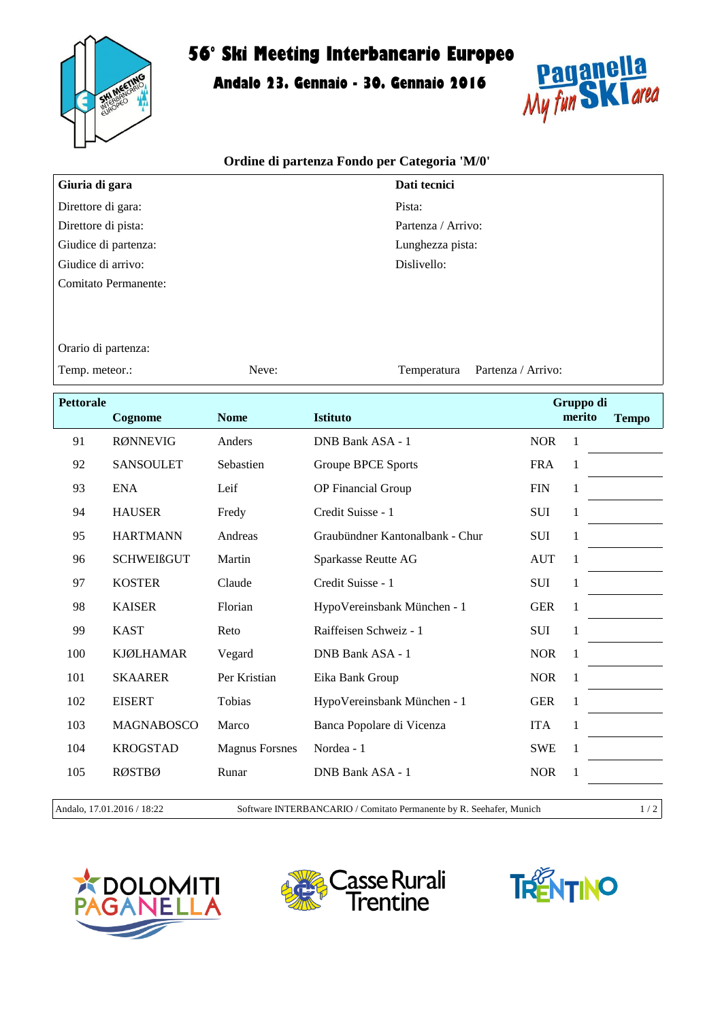

## **56° Ski Meeting Interbancario Europeo**

**Andalo 23. Gennaio - 30. Gennaio 2016**



## **Ordine di partenza Fondo per Categoria 'M/0'**

| Giuria di gara       | Dati tecnici       |
|----------------------|--------------------|
| Direttore di gara:   | Pista:             |
| Direttore di pista:  | Partenza / Arrivo: |
| Giudice di partenza: | Lunghezza pista:   |
| Giudice di arrivo:   | Dislivello:        |
| Comitato Permanente: |                    |

Temperatura

Orario di partenza:

Temp. meteor.: Neve: Neve: Partenza / Arrivo:

**Pettorale Cognome Nome Istituto Gruppo di merito Tempo** 91 RØNNEVIG Anders DNB Bank ASA - 1 NOR 1 92 SANSOULET Sebastien Groupe BPCE Sports FRA 1 93 ENA Leif OP Financial Group FIN 1 94 HAUSER Fredy Credit Suisse - 1 SUI 1 95 HARTMANN Andreas Graubündner Kantonalbank - Chur SUI 1 96 SCHWEIßGUT Martin Sparkasse Reutte AG AUT 1 97 KOSTER Claude Credit Suisse - 1 SUI 1 98 KAISER Florian HypoVereinsbank München - 1 GER 1 99 KAST Reto Raiffeisen Schweiz - 1 SUI 1 100 KJØLHAMAR Vegard DNB Bank ASA - 1 NOR 1 101 SKAARER Per Kristian Eika Bank Group NOR 1 102 EISERT Tobias HypoVereinsbank München - 1 GER 1 103 MAGNABOSCO Marco Banca Popolare di Vicenza ITA 1 104 KROGSTAD Magnus Forsnes Nordea - 1 SWE 1 105 RØSTBØ Runar DNB Bank ASA - 1 NOR 1

Andalo, 17.01.2016 / 18:22 Software INTERBANCARIO / Comitato Permanente by R. Seehafer, Munich 1 / 2